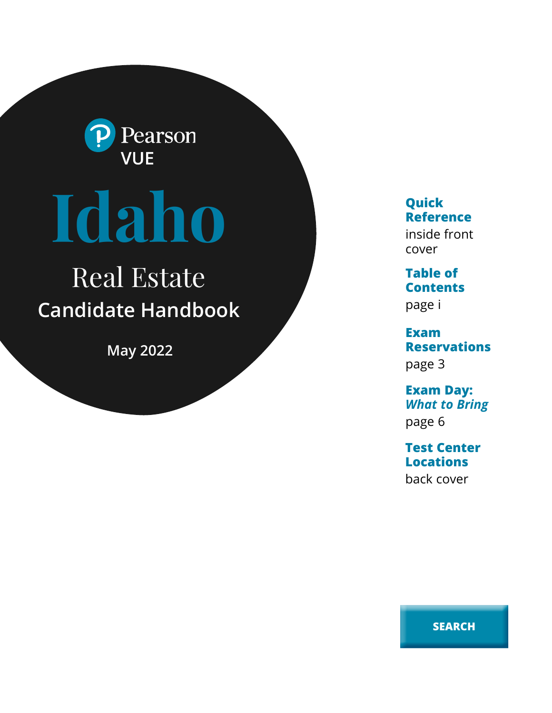

# **Idaho**

# Real Estate **Candidate Handbook**

**May 2022**

**Quick Reference**

inside front cover

**Table of Contents** page i

**Exam Reservations** page 3

**Exam Day:**  *What to Bring* page 6

**Test Center Locations** back cover

**SEARCH**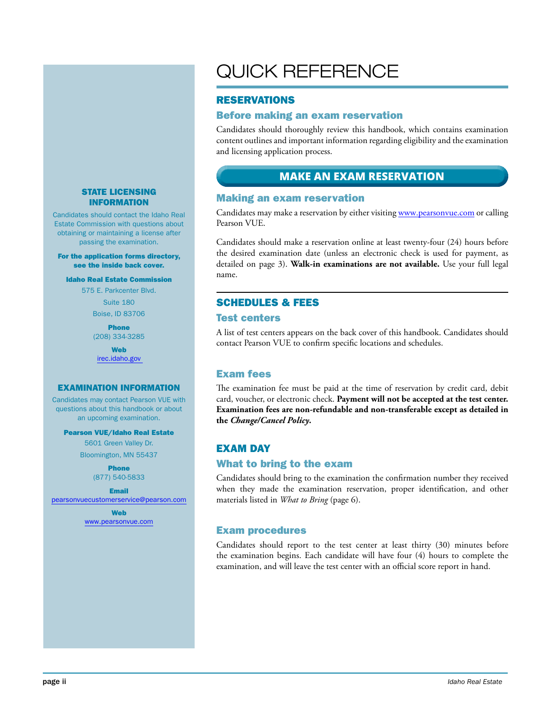### STATE LICENSING INFORMATION

Candidates should contact the Idaho Real Estate Commission with questions about obtaining or maintaining a license after passing the examination.

#### For the application forms directory, see the inside back cover.

#### Idaho Real Estate Commission

575 E. Parkcenter Blvd.

Suite 180

Boise, ID 83706

Phone (208) 334-3285

**Web** irec.idaho.gov

### EXAMINATION INFORMATION

Candidates may contact Pearson VUE with questions about this handbook or about an upcoming examination.

#### Pearson VUE/Idaho Real Estate

5601 Green Valley Dr. Bloomington, MN 55437

> Phone (877) 540-5833

Email pearsonvuecustomerservice@pearson.com

> Web www.pearsonvue.com

# QUICK REFERENCE

### RESERVATIONS

### Before making an exam reservation

Candidates should thoroughly review this handbook, which contains examination content outlines and important information regarding eligibility and the examination and licensing application process.

# **MAKE AN EXAM RESERVATION**

### Making an exam reservation

Candidates may make a reservation by either visiting www.pearsonvue.com or calling Pearson VUE.

Candidates should make a reservation online at least twenty-four (24) hours before the desired examination date (unless an electronic check is used for payment, as detailed on page 3). **Walk-in examinations are not available.** Use your full legal name.

### SCHEDULES & FEES

### Test centers

A list of test centers appears on the back cover of this handbook. Candidates should contact Pearson VUE to confirm specific locations and schedules.

### Exam fees

The examination fee must be paid at the time of reservation by credit card, debit card, voucher, or electronic check. **Payment will not be accepted at the test center. Examination fees are non-refundable and non-transferable except as detailed in the** *Change/Cancel Policy***.**

### EXAM DAY

### What to bring to the exam

Candidates should bring to the examination the confirmation number they received when they made the examination reservation, proper identification, and other materials listed in *What to Bring* (page 6).

### Exam procedures

Candidates should report to the test center at least thirty (30) minutes before the examination begins. Each candidate will have four (4) hours to complete the examination, and will leave the test center with an official score report in hand.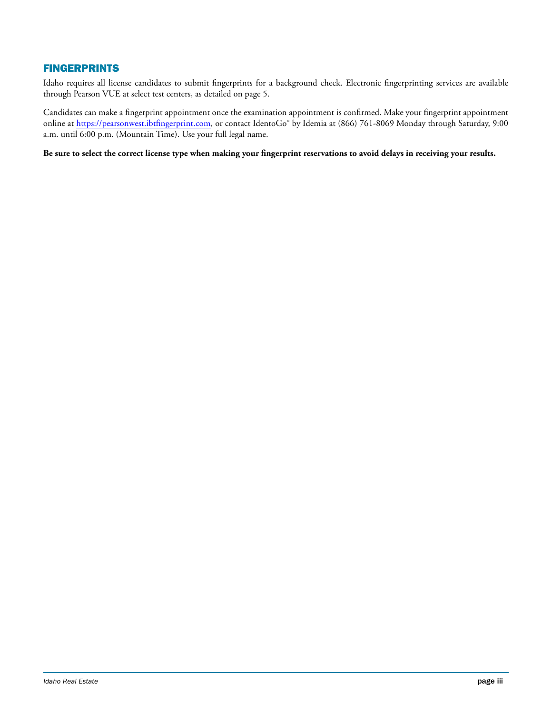### FINGERPRINTS

Idaho requires all license candidates to submit fingerprints for a background check. Electronic fingerprinting services are available through Pearson VUE at select test centers, as detailed on page 5.

Candidates can make a fingerprint appointment once the examination appointment is confirmed. Make your fingerprint appointment online at https://pearsonwest.ibtfingerprint.com, or contact IdentoGo® by Idemia at (866) 761-8069 Monday through Saturday, 9:00 a.m. until 6:00 p.m. (Mountain Time). Use your full legal name.

**Be sure to select the correct license type when making your fingerprint reservations to avoid delays in receiving your results.**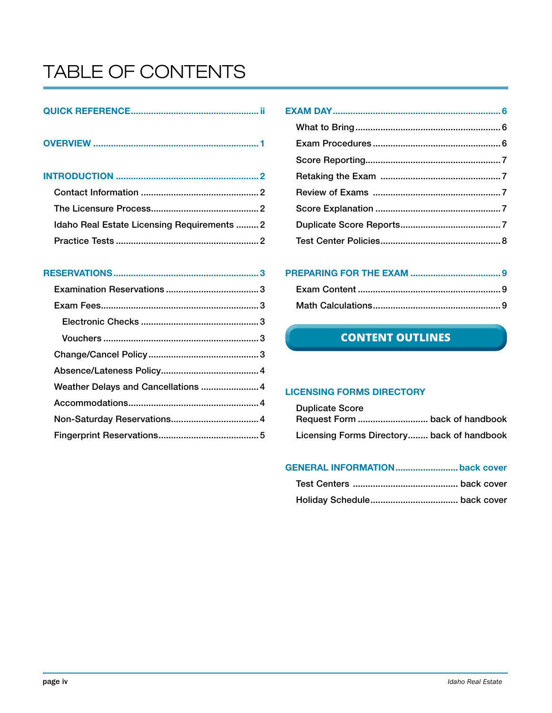# TABLE OF CONTENTS

| Idaho Real Estate Licensing Requirements 2 |  |
|--------------------------------------------|--|
|                                            |  |

# RESERVATIONS..........................................................3

| Weather Delays and Cancellations  4 |  |
|-------------------------------------|--|
|                                     |  |
|                                     |  |
|                                     |  |
|                                     |  |

# CONTENT OUTLINES **CONTENT OUTLINES**

### LICENSING FORMS DIRECTORY

| <b>Duplicate Score</b>                     |  |
|--------------------------------------------|--|
|                                            |  |
| Licensing Forms Directory back of handbook |  |

# GENERAL INFORMATION.........................back cover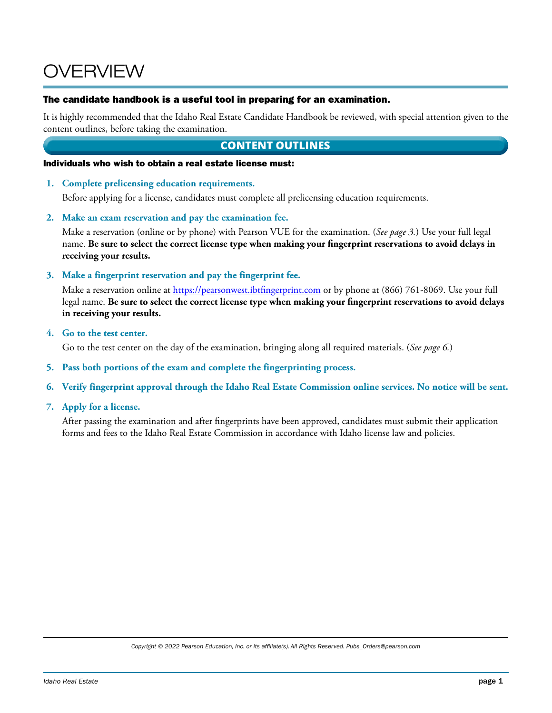# OVERVIEW

### The candidate handbook is a useful tool in preparing for an examination.

It is highly recommended that the Idaho Real Estate Candidate Handbook be reviewed, with special attention given to the content outlines, before taking the examination.

# **CONTENT OUTLINES**

### Individuals who wish to obtain a real estate license must:

**1. Complete prelicensing education requirements.**

Before applying for a license, candidates must complete all prelicensing education requirements.

**2. Make an exam reservation and pay the examination fee.**

Make a reservation (online or by phone) with Pearson VUE for the examination. (*See page 3.*) Use your full legal name. **Be sure to select the correct license type when making your fingerprint reservations to avoid delays in receiving your results.**

**3. Make a fingerprint reservation and pay the fingerprint fee.**

Make a reservation online at https://pearsonwest.ibtfingerprint.com or by phone at (866) 761-8069. Use your full legal name. **Be sure to select the correct license type when making your fingerprint reservations to avoid delays in receiving your results.**

**4. Go to the test center.**

Go to the test center on the day of the examination, bringing along all required materials. (*See page 6.*)

- **5. Pass both portions of the exam and complete the fingerprinting process.**
- **6. Verify fingerprint approval through the Idaho Real Estate Commission online services. No notice will be sent.**
- **7. Apply for a license.**

After passing the examination and after fingerprints have been approved, candidates must submit their application forms and fees to the Idaho Real Estate Commission in accordance with Idaho license law and policies.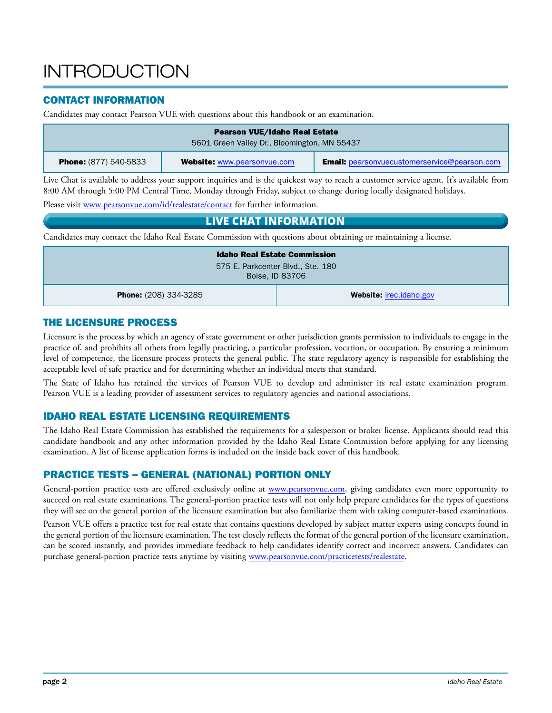# **INTRODUCTION**

# CONTACT INFORMATION

Candidates may contact Pearson VUE with questions about this handbook or an examination.

| <b>Pearson VUE/Idaho Real Estate</b><br>5601 Green Valley Dr., Bloomington, MN 55437 |                                    |                                                     |
|--------------------------------------------------------------------------------------|------------------------------------|-----------------------------------------------------|
| <b>Phone:</b> (877) 540-5833                                                         | <b>Website: www.pearsonvue.com</b> | <b>Email:</b> pearsonvuecustomerservice@pearson.com |

Live Chat is available to address your support inquiries and is the quickest way to reach a customer service agent. It's available from 8:00 AM through 5:00 PM Central Time, Monday through Friday, subject to change during locally designated holidays.

Please visit www.pearsonvue.com/id/realestate/contact for further information.

# **LIVE CHAT INFORMATION**

Candidates may contact the Idaho Real Estate Commission with questions about obtaining or maintaining a license.

| <b>Idaho Real Estate Commission</b>                            |  |
|----------------------------------------------------------------|--|
| 575 E. Parkcenter Blvd., Ste. 180<br>Boise, ID 83706           |  |
| <b>Website:</b> irec.idaho.gov<br><b>Phone:</b> (208) 334-3285 |  |

# THE LICENSURE PROCESS

Licensure is the process by which an agency of state government or other jurisdiction grants permission to individuals to engage in the practice of, and prohibits all others from legally practicing, a particular profession, vocation, or occupation. By ensuring a minimum level of competence, the licensure process protects the general public. The state regulatory agency is responsible for establishing the acceptable level of safe practice and for determining whether an individual meets that standard.

The State of Idaho has retained the services of Pearson VUE to develop and administer its real estate examination program. Pearson VUE is a leading provider of assessment services to regulatory agencies and national associations.

# IDAHO REAL ESTATE LICENSING REQUIREMENTS

The Idaho Real Estate Commission has established the requirements for a salesperson or broker license. Applicants should read this candidate handbook and any other information provided by the Idaho Real Estate Commission before applying for any licensing examination. A list of license application forms is included on the inside back cover of this handbook.

# PRACTICE TESTS – GENERAL (NATIONAL) PORTION ONLY

General-portion practice tests are offered exclusively online at www.pearsonvue.com, giving candidates even more opportunity to succeed on real estate examinations. The general-portion practice tests will not only help prepare candidates for the types of questions they will see on the general portion of the licensure examination but also familiarize them with taking computer-based examinations.

Pearson VUE offers a practice test for real estate that contains questions developed by subject matter experts using concepts found in the general portion of the licensure examination. The test closely reflects the format of the general portion of the licensure examination, can be scored instantly, and provides immediate feedback to help candidates identify correct and incorrect answers. Candidates can purchase general-portion practice tests anytime by visiting www.pearsonvue.com/practicetests/realestate.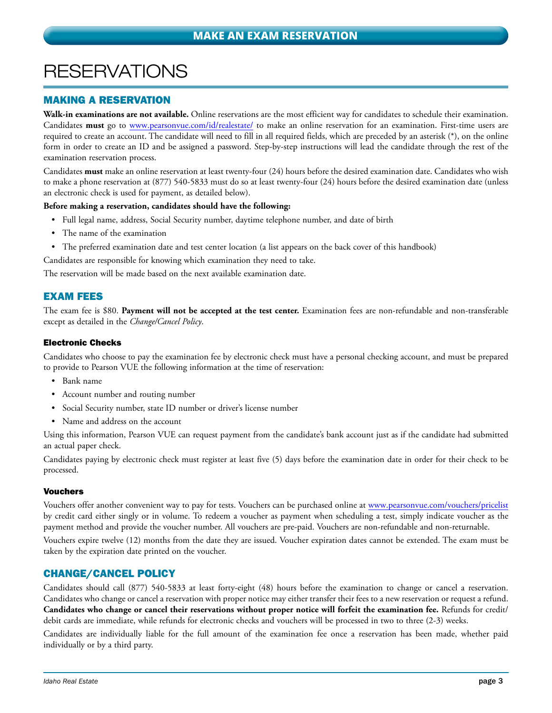# **RESERVATIONS**

# MAKING A RESERVATION

**Walk-in examinations are not available.** Online reservations are the most efficient way for candidates to schedule their examination. Candidates **must** go to www.pearsonvue.com/id/realestate/ to make an online reservation for an examination. First-time users are required to create an account. The candidate will need to fill in all required fields, which are preceded by an asterisk (\*), on the online form in order to create an ID and be assigned a password. Step-by-step instructions will lead the candidate through the rest of the examination reservation process.

Candidates **must** make an online reservation at least twenty-four (24) hours before the desired examination date. Candidates who wish to make a phone reservation at (877) 540-5833 must do so at least twenty-four (24) hours before the desired examination date (unless an electronic check is used for payment, as detailed below).

### **Before making a reservation, candidates should have the following:**

- Full legal name, address, Social Security number, daytime telephone number, and date of birth
- The name of the examination
- The preferred examination date and test center location (a list appears on the back cover of this handbook)

Candidates are responsible for knowing which examination they need to take.

The reservation will be made based on the next available examination date.

### EXAM FEES

The exam fee is \$80. **Payment will not be accepted at the test center.** Examination fees are non-refundable and non-transferable except as detailed in the *Change/Cancel Policy*.

### Electronic Checks

Candidates who choose to pay the examination fee by electronic check must have a personal checking account, and must be prepared to provide to Pearson VUE the following information at the time of reservation:

- Bank name
- Account number and routing number
- Social Security number, state ID number or driver's license number
- Name and address on the account

Using this information, Pearson VUE can request payment from the candidate's bank account just as if the candidate had submitted an actual paper check.

Candidates paying by electronic check must register at least five (5) days before the examination date in order for their check to be processed.

### Vouchers

Vouchers offer another convenient way to pay for tests. Vouchers can be purchased online at www.pearsonvue.com/vouchers/pricelist by credit card either singly or in volume. To redeem a voucher as payment when scheduling a test, simply indicate voucher as the payment method and provide the voucher number. All vouchers are pre-paid. Vouchers are non-refundable and non-returnable.

Vouchers expire twelve (12) months from the date they are issued. Voucher expiration dates cannot be extended. The exam must be taken by the expiration date printed on the voucher.

### CHANGE/CANCEL POLICY

Candidates should call (877) 540-5833 at least forty-eight (48) hours before the examination to change or cancel a reservation. Candidates who change or cancel a reservation with proper notice may either transfer their fees to a new reservation or request a refund. **Candidates who change or cancel their reservations without proper notice will forfeit the examination fee.** Refunds for credit/ debit cards are immediate, while refunds for electronic checks and vouchers will be processed in two to three (2-3) weeks.

Candidates are individually liable for the full amount of the examination fee once a reservation has been made, whether paid individually or by a third party.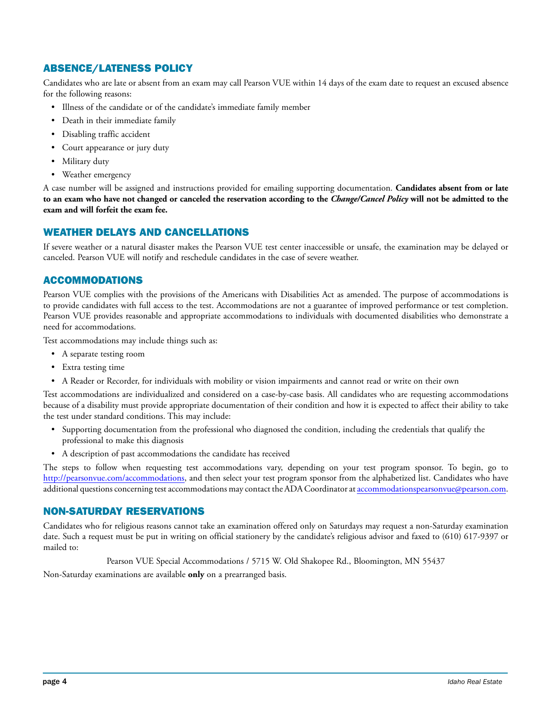# ABSENCE/LATENESS POLICY

Candidates who are late or absent from an exam may call Pearson VUE within 14 days of the exam date to request an excused absence for the following reasons:

- Illness of the candidate or of the candidate's immediate family member
- Death in their immediate family
- Disabling traffic accident
- Court appearance or jury duty
- Military duty
- Weather emergency

A case number will be assigned and instructions provided for emailing supporting documentation. **Candidates absent from or late to an exam who have not changed or canceled the reservation according to the** *Change/Cancel Policy* **will not be admitted to the exam and will forfeit the exam fee.**

### WEATHER DELAYS AND CANCELLATIONS

If severe weather or a natural disaster makes the Pearson VUE test center inaccessible or unsafe, the examination may be delayed or canceled. Pearson VUE will notify and reschedule candidates in the case of severe weather.

### ACCOMMODATIONS

Pearson VUE complies with the provisions of the Americans with Disabilities Act as amended. The purpose of accommodations is to provide candidates with full access to the test. Accommodations are not a guarantee of improved performance or test completion. Pearson VUE provides reasonable and appropriate accommodations to individuals with documented disabilities who demonstrate a need for accommodations.

Test accommodations may include things such as:

- A separate testing room
- Extra testing time
- A Reader or Recorder, for individuals with mobility or vision impairments and cannot read or write on their own

Test accommodations are individualized and considered on a case-by-case basis. All candidates who are requesting accommodations because of a disability must provide appropriate documentation of their condition and how it is expected to affect their ability to take the test under standard conditions. This may include:

- Supporting documentation from the professional who diagnosed the condition, including the credentials that qualify the professional to make this diagnosis
- A description of past accommodations the candidate has received

The steps to follow when requesting test accommodations vary, depending on your test program sponsor. To begin, go to http://pearsonvue.com/accommodations, and then select your test program sponsor from the alphabetized list. Candidates who have additional questions concerning test accommodations may contact the ADA Coordinator at accommodationspearsonvue@pearson.com.

### NON-SATURDAY RESERVATIONS

Candidates who for religious reasons cannot take an examination offered only on Saturdays may request a non-Saturday examination date. Such a request must be put in writing on official stationery by the candidate's religious advisor and faxed to (610) 617-9397 or mailed to:

Pearson VUE Special Accommodations / 5715 W. Old Shakopee Rd., Bloomington, MN 55437

Non-Saturday examinations are available **only** on a prearranged basis.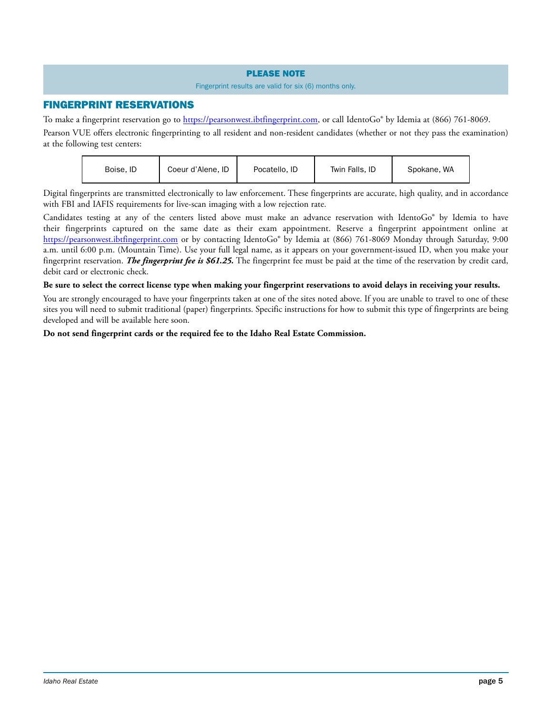### PLEASE NOTE

### Fingerprint results are valid for six (6) months only.

### FINGERPRINT RESERVATIONS

To make a fingerprint reservation go to https://pearsonwest.ibtfingerprint.com, or call IdentoGo® by Idemia at (866) 761-8069.

Pearson VUE offers electronic fingerprinting to all resident and non-resident candidates (whether or not they pass the examination) at the following test centers:

| Boise, ID | Coeur d'Alene, ID | Pocatello, ID | Twin Falls, ID | Spokane, WA |
|-----------|-------------------|---------------|----------------|-------------|
|           |                   |               |                |             |

Digital fingerprints are transmitted electronically to law enforcement. These fingerprints are accurate, high quality, and in accordance with FBI and IAFIS requirements for live-scan imaging with a low rejection rate.

Candidates testing at any of the centers listed above must make an advance reservation with IdentoGo® by Idemia to have their fingerprints captured on the same date as their exam appointment. Reserve a fingerprint appointment online at https://pearsonwest.ibtfingerprint.com or by contacting IdentoGo® by Idemia at (866) 761-8069 Monday through Saturday, 9:00 a.m. until 6:00 p.m. (Mountain Time). Use your full legal name, as it appears on your government-issued ID, when you make your fingerprint reservation. *The fingerprint fee is \$61.25.* The fingerprint fee must be paid at the time of the reservation by credit card, debit card or electronic check.

### **Be sure to select the correct license type when making your fingerprint reservations to avoid delays in receiving your results.**

You are strongly encouraged to have your fingerprints taken at one of the sites noted above. If you are unable to travel to one of these sites you will need to submit traditional (paper) fingerprints. Specific instructions for how to submit this type of fingerprints are being developed and will be available here soon.

### **Do not send fingerprint cards or the required fee to the Idaho Real Estate Commission.**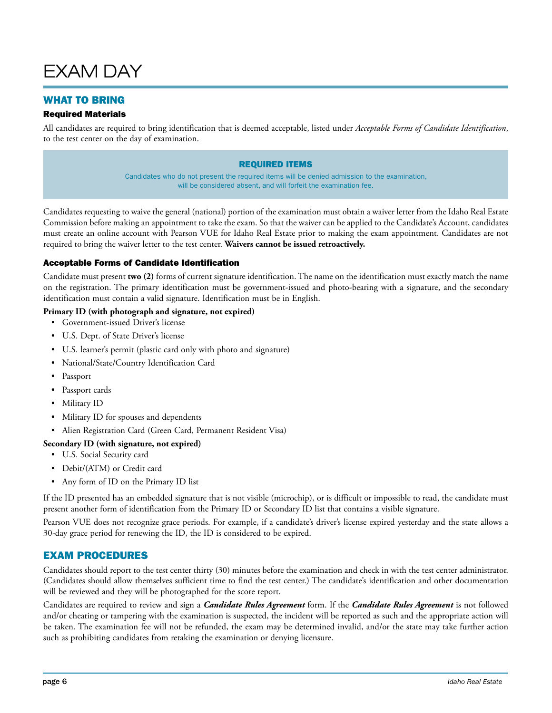

# WHAT TO BRING

### Required Materials

All candidates are required to bring identification that is deemed acceptable, listed under *Acceptable Forms of Candidate Identification*, to the test center on the day of examination.

### REQUIRED ITEMS

Candidates who do not present the required items will be denied admission to the examination, will be considered absent, and will forfeit the examination fee.

Candidates requesting to waive the general (national) portion of the examination must obtain a waiver letter from the Idaho Real Estate Commission before making an appointment to take the exam. So that the waiver can be applied to the Candidate's Account, candidates must create an online account with Pearson VUE for Idaho Real Estate prior to making the exam appointment. Candidates are not required to bring the waiver letter to the test center. **Waivers cannot be issued retroactively.**

### Acceptable Forms of Candidate Identification

Candidate must present **two (2)** forms of current signature identification. The name on the identification must exactly match the name on the registration. The primary identification must be government-issued and photo-bearing with a signature, and the secondary identification must contain a valid signature. Identification must be in English.

### **Primary ID (with photograph and signature, not expired)**

- Government-issued Driver's license
- U.S. Dept. of State Driver's license
- U.S. learner's permit (plastic card only with photo and signature)
- National/State/Country Identification Card
- Passport
- Passport cards
- Military ID
- Military ID for spouses and dependents
- Alien Registration Card (Green Card, Permanent Resident Visa)

### **Secondary ID (with signature, not expired)**

- U.S. Social Security card
- Debit/(ATM) or Credit card
- Any form of ID on the Primary ID list

If the ID presented has an embedded signature that is not visible (microchip), or is difficult or impossible to read, the candidate must present another form of identification from the Primary ID or Secondary ID list that contains a visible signature.

Pearson VUE does not recognize grace periods. For example, if a candidate's driver's license expired yesterday and the state allows a 30-day grace period for renewing the ID, the ID is considered to be expired.

### EXAM PROCEDURES

Candidates should report to the test center thirty (30) minutes before the examination and check in with the test center administrator. (Candidates should allow themselves sufficient time to find the test center.) The candidate's identification and other documentation will be reviewed and they will be photographed for the score report.

Candidates are required to review and sign a *Candidate Rules Agreement* form. If the *Candidate Rules Agreement* is not followed and/or cheating or tampering with the examination is suspected, the incident will be reported as such and the appropriate action will be taken. The examination fee will not be refunded, the exam may be determined invalid, and/or the state may take further action such as prohibiting candidates from retaking the examination or denying licensure.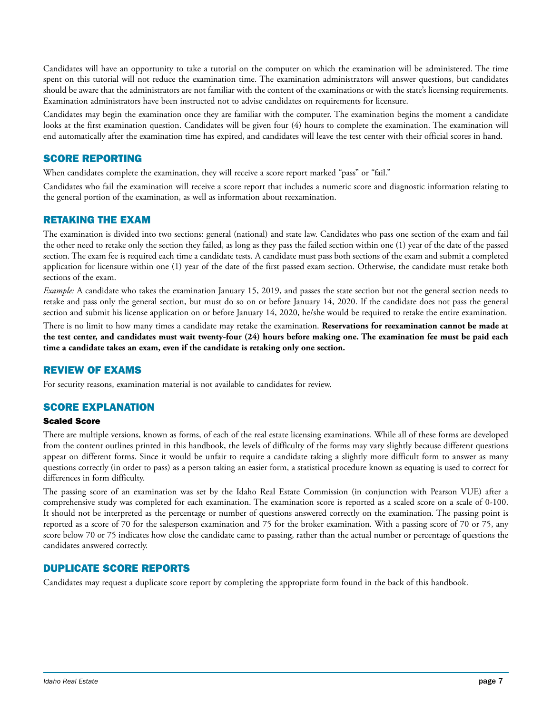Candidates will have an opportunity to take a tutorial on the computer on which the examination will be administered. The time spent on this tutorial will not reduce the examination time. The examination administrators will answer questions, but candidates should be aware that the administrators are not familiar with the content of the examinations or with the state's licensing requirements. Examination administrators have been instructed not to advise candidates on requirements for licensure.

Candidates may begin the examination once they are familiar with the computer. The examination begins the moment a candidate looks at the first examination question. Candidates will be given four (4) hours to complete the examination. The examination will end automatically after the examination time has expired, and candidates will leave the test center with their official scores in hand.

# SCORE REPORTING

When candidates complete the examination, they will receive a score report marked "pass" or "fail."

Candidates who fail the examination will receive a score report that includes a numeric score and diagnostic information relating to the general portion of the examination, as well as information about reexamination.

# RETAKING THE EXAM

The examination is divided into two sections: general (national) and state law. Candidates who pass one section of the exam and fail the other need to retake only the section they failed, as long as they pass the failed section within one (1) year of the date of the passed section. The exam fee is required each time a candidate tests. A candidate must pass both sections of the exam and submit a completed application for licensure within one (1) year of the date of the first passed exam section. Otherwise, the candidate must retake both sections of the exam.

*Example:* A candidate who takes the examination January 15, 2019, and passes the state section but not the general section needs to retake and pass only the general section, but must do so on or before January 14, 2020. If the candidate does not pass the general section and submit his license application on or before January 14, 2020, he/she would be required to retake the entire examination.

There is no limit to how many times a candidate may retake the examination. **Reservations for reexamination cannot be made at the test center, and candidates must wait twenty-four (24) hours before making one. The examination fee must be paid each time a candidate takes an exam, even if the candidate is retaking only one section.**

# REVIEW OF EXAMS

For security reasons, examination material is not available to candidates for review.

# SCORE EXPLANATION

### Scaled Score

There are multiple versions, known as forms, of each of the real estate licensing examinations. While all of these forms are developed from the content outlines printed in this handbook, the levels of difficulty of the forms may vary slightly because different questions appear on different forms. Since it would be unfair to require a candidate taking a slightly more difficult form to answer as many questions correctly (in order to pass) as a person taking an easier form, a statistical procedure known as equating is used to correct for differences in form difficulty.

The passing score of an examination was set by the Idaho Real Estate Commission (in conjunction with Pearson VUE) after a comprehensive study was completed for each examination. The examination score is reported as a scaled score on a scale of 0-100. It should not be interpreted as the percentage or number of questions answered correctly on the examination. The passing point is reported as a score of 70 for the salesperson examination and 75 for the broker examination. With a passing score of 70 or 75, any score below 70 or 75 indicates how close the candidate came to passing, rather than the actual number or percentage of questions the candidates answered correctly.

### DUPLICATE SCORE REPORTS

Candidates may request a duplicate score report by completing the appropriate form found in the back of this handbook.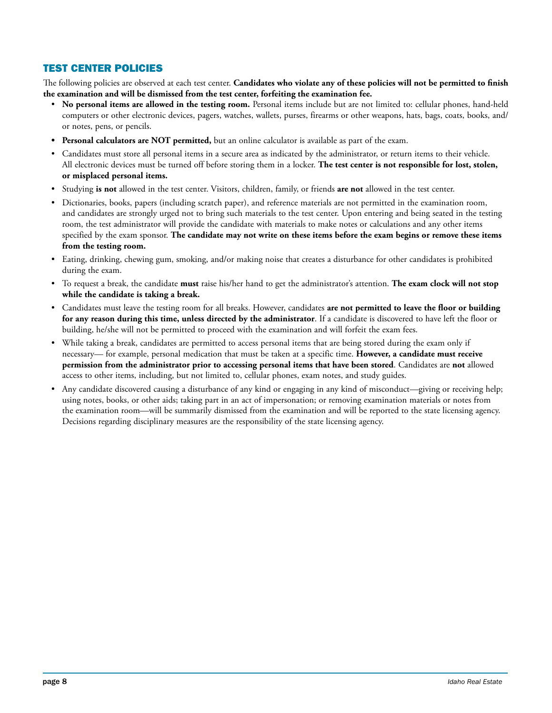# TEST CENTER POLICIES

The following policies are observed at each test center. **Candidates who violate any of these policies will not be permitted to finish the examination and will be dismissed from the test center, forfeiting the examination fee.**

- **No personal items are allowed in the testing room.** Personal items include but are not limited to: cellular phones, hand-held computers or other electronic devices, pagers, watches, wallets, purses, firearms or other weapons, hats, bags, coats, books, and/ or notes, pens, or pencils.
- **• Personal calculators are NOT permitted,** but an online calculator is available as part of the exam.
- Candidates must store all personal items in a secure area as indicated by the administrator, or return items to their vehicle. All electronic devices must be turned off before storing them in a locker. **The test center is not responsible for lost, stolen, or misplaced personal items.**
- Studying **is not** allowed in the test center. Visitors, children, family, or friends **are not** allowed in the test center.
- Dictionaries, books, papers (including scratch paper), and reference materials are not permitted in the examination room, and candidates are strongly urged not to bring such materials to the test center. Upon entering and being seated in the testing room, the test administrator will provide the candidate with materials to make notes or calculations and any other items specified by the exam sponsor. **The candidate may not write on these items before the exam begins or remove these items from the testing room.**
- Eating, drinking, chewing gum, smoking, and/or making noise that creates a disturbance for other candidates is prohibited during the exam.
- To request a break, the candidate **must** raise his/her hand to get the administrator's attention. **The exam clock will not stop while the candidate is taking a break.**
- Candidates must leave the testing room for all breaks. However, candidates **are not permitted to leave the floor or building for any reason during this time, unless directed by the administrator**. If a candidate is discovered to have left the floor or building, he/she will not be permitted to proceed with the examination and will forfeit the exam fees.
- While taking a break, candidates are permitted to access personal items that are being stored during the exam only if necessary— for example, personal medication that must be taken at a specific time. **However, a candidate must receive permission from the administrator prior to accessing personal items that have been stored**. Candidates are **not** allowed access to other items, including, but not limited to, cellular phones, exam notes, and study guides.
- Any candidate discovered causing a disturbance of any kind or engaging in any kind of misconduct—giving or receiving help; using notes, books, or other aids; taking part in an act of impersonation; or removing examination materials or notes from the examination room—will be summarily dismissed from the examination and will be reported to the state licensing agency. Decisions regarding disciplinary measures are the responsibility of the state licensing agency.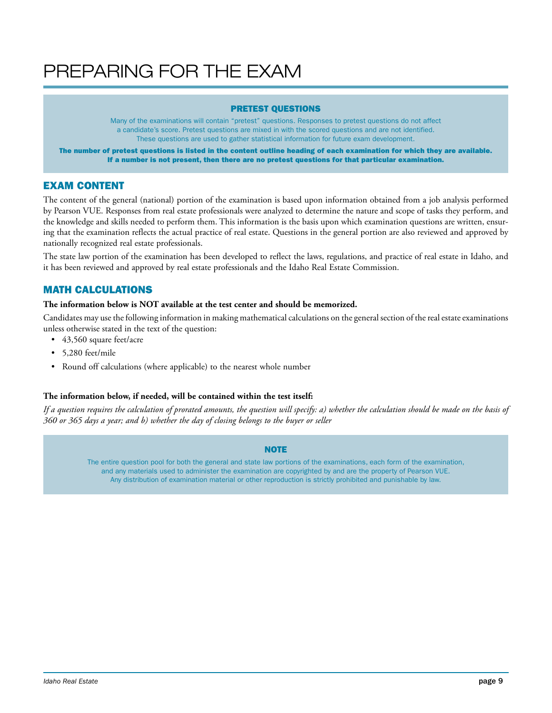# PREPARING FOR THE EXAM

### PRETEST QUESTIONS

Many of the examinations will contain "pretest" questions. Responses to pretest questions do not affect a candidate's score. Pretest questions are mixed in with the scored questions and are not identified. These questions are used to gather statistical information for future exam development.

The number of pretest questions is listed in the content outline heading of each examination for which they are available. If a number is not present, then there are no pretest questions for that particular examination.

# EXAM CONTENT

The content of the general (national) portion of the examination is based upon information obtained from a job analysis performed by Pearson VUE. Responses from real estate professionals were analyzed to determine the nature and scope of tasks they perform, and the knowledge and skills needed to perform them. This information is the basis upon which examination questions are written, ensuring that the examination reflects the actual practice of real estate. Questions in the general portion are also reviewed and approved by nationally recognized real estate professionals.

The state law portion of the examination has been developed to reflect the laws, regulations, and practice of real estate in Idaho, and it has been reviewed and approved by real estate professionals and the Idaho Real Estate Commission.

# MATH CALCULATIONS

### **The information below is NOT available at the test center and should be memorized.**

Candidates may use the following information in making mathematical calculations on the general section of the real estate examinations unless otherwise stated in the text of the question:

- 43,560 square feet/acre
- 5,280 feet/mile
- Round off calculations (where applicable) to the nearest whole number

### **The information below, if needed, will be contained within the test itself:**

*If a question requires the calculation of prorated amounts, the question will specify: a) whether the calculation should be made on the basis of 360 or 365 days a year; and b) whether the day of closing belongs to the buyer or seller*

### **NOTE**

The entire question pool for both the general and state law portions of the examinations, each form of the examination, and any materials used to administer the examination are copyrighted by and are the property of Pearson VUE. Any distribution of examination material or other reproduction is strictly prohibited and punishable by law.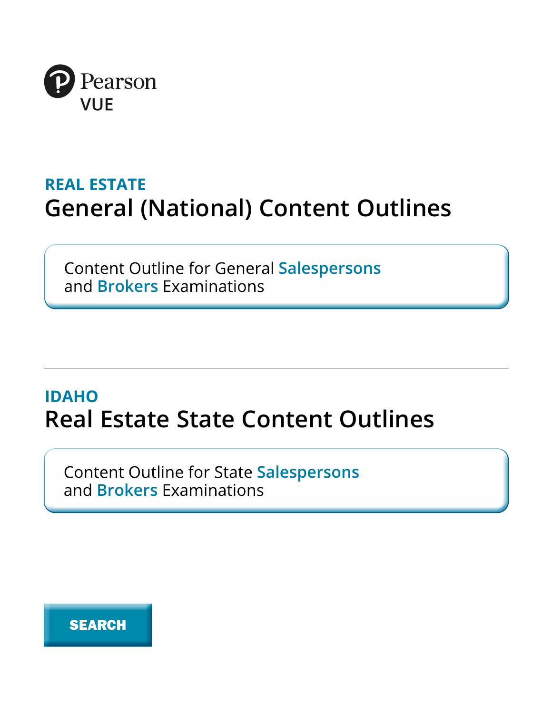

# **REAL ESTATE General (National) Content Outlines**

**Content Outline for General Salespersons** and **Brokers** Examinations

# **IDAHO Real Estate State Content Outlines**

**Content Outline for State Salespersons** and **Brokers** Examinations

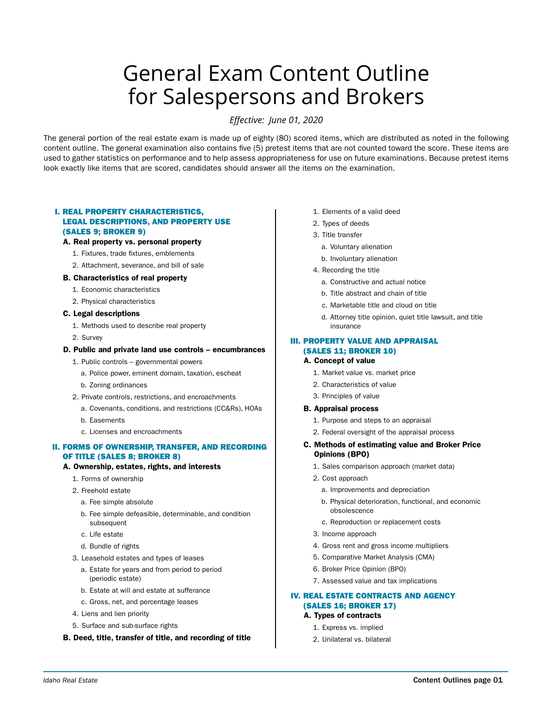# General Exam Content Outline for Salespersons and Brokers

*Effective: June 01, 2020*

The general portion of the real estate exam is made up of eighty (80) scored items, which are distributed as noted in the following content outline. The general examination also contains five (5) pretest items that are not counted toward the score. These items are used to gather statistics on performance and to help assess appropriateness for use on future examinations. Because pretest items look exactly like items that are scored, candidates should answer all the items on the examination.

### I. REAL PROPERTY CHARACTERISTICS, LEGAL DESCRIPTIONS, AND PROPERTY USE (SALES 9; BROKER 9)

### A. Real property vs. personal property

- 1. Fixtures, trade fixtures, emblements
- 2. Attachment, severance, and bill of sale

### B. Characteristics of real property

- 1. Economic characteristics
- 2. Physical characteristics

### C. Legal descriptions

- 1. Methods used to describe real property
- 2. Survey

#### D. Public and private land use controls – encumbrances

- 1. Public controls governmental powers
	- a. Police power, eminent domain, taxation, escheat
	- b. Zoning ordinances
- 2. Private controls, restrictions, and encroachments
	- a. Covenants, conditions, and restrictions (CC&Rs), HOAs
	- b. Easements
	- c. Licenses and encroachments

### II. FORMS OF OWNERSHIP, TRANSFER, AND RECORDING OF TITLE (SALES 8; BROKER 8)

### A. Ownership, estates, rights, and interests

- 1. Forms of ownership
- 2. Freehold estate
	- a. Fee simple absolute
	- b. Fee simple defeasible, determinable, and condition subsequent
	- c. Life estate
	- d. Bundle of rights
- 3. Leasehold estates and types of leases
	- a. Estate for years and from period to period (periodic estate)
	- b. Estate at will and estate at sufferance
	- c. Gross, net, and percentage leases
- 4. Liens and lien priority
- 5. Surface and sub-surface rights
- B. Deed, title, transfer of title, and recording of title
- 1. Elements of a valid deed
- 2. Types of deeds
- 3. Title transfer
	- a. Voluntary alienation
	- b. Involuntary alienation
- 4. Recording the title
	- a. Constructive and actual notice
	- b. Title abstract and chain of title
	- c. Marketable title and cloud on title
	- d. Attorney title opinion, quiet title lawsuit, and title insurance

### III. PROPERTY VALUE AND APPRAISAL (SALES 11; BROKER 10)

### A. Concept of value

- 1. Market value vs. market price
- 2. Characteristics of value
- 3. Principles of value

#### B. Appraisal process

- 1. Purpose and steps to an appraisal
- 2. Federal oversight of the appraisal process

### C. Methods of estimating value and Broker Price Opinions (BPO)

- 1. Sales comparison approach (market data)
- 2. Cost approach
	- a. Improvements and depreciation
	- b. Physical deterioration, functional, and economic obsolescence
	- c. Reproduction or replacement costs
- 3. Income approach
- 4. Gross rent and gross income multipliers
- 5. Comparative Market Analysis (CMA)
- 6. Broker Price Opinion (BPO)
- 7. Assessed value and tax implications

### IV. REAL ESTATE CONTRACTS AND AGENCY (SALES 16; BROKER 17)

- A. Types of contracts
	- 1. Express vs. implied
	- 2. Unilateral vs. bilateral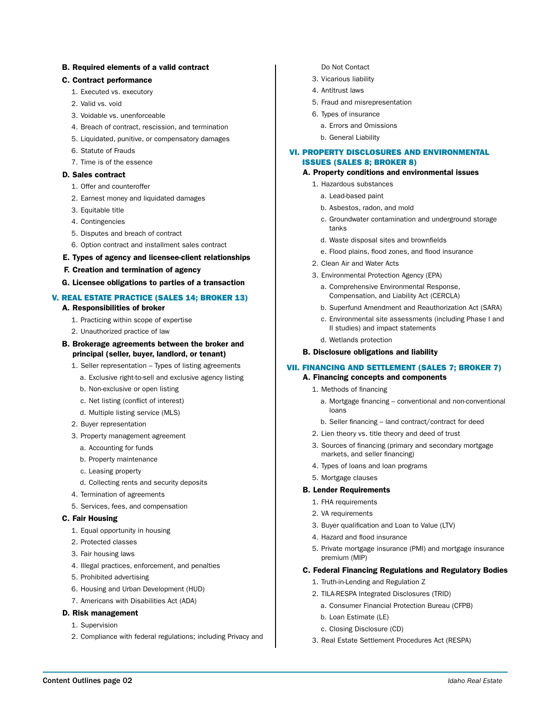### B. Required elements of a valid contract

### C. Contract performance

- 1. Executed vs. executory
- 2. Valid vs. void
- 3. Voidable vs. unenforceable
- 4. Breach of contract, rescission, and termination
- 5. Liquidated, punitive, or compensatory damages
- 6. Statute of Frauds
- 7. Time is of the essence

### D. Sales contract

- 1. Offer and counteroffer
- 2. Earnest money and liquidated damages
- 3. Equitable title
- 4. Contingencies
- 5. Disputes and breach of contract
- 6. Option contract and installment sales contract

### E. Types of agency and licensee-client relationships

- F. Creation and termination of agency
- G. Licensee obligations to parties of a transaction

### V. REAL ESTATE PRACTICE (SALES 14; BROKER 13) A. Responsibilities of broker

- 1. Practicing within scope of expertise
- 2. Unauthorized practice of law
- B. Brokerage agreements between the broker and
	- principal (seller, buyer, landlord, or tenant)
	- 1. Seller representation Types of listing agreements
		- a. Exclusive right-to-sell and exclusive agency listing
		- b. Non-exclusive or open listing
		- c. Net listing (conflict of interest)
		- d. Multiple listing service (MLS)
	- 2. Buyer representation
	- 3. Property management agreement
		- a. Accounting for funds
		- b. Property maintenance
		- c. Leasing property
		- d. Collecting rents and security deposits
	- 4. Termination of agreements
	- 5. Services, fees, and compensation

### C. Fair Housing

- 1. Equal opportunity in housing
- 2. Protected classes
- 3. Fair housing laws
- 4. Illegal practices, enforcement, and penalties
- 5. Prohibited advertising
- 6. Housing and Urban Development (HUD)
- 7. Americans with Disabilities Act (ADA)

#### D. Risk management

- 1. Supervision
- 2. Compliance with federal regulations; including Privacy and
- Do Not Contact
- 3. Vicarious liability
- 4. Antitrust laws
- 5. Fraud and misrepresentation
- 6. Types of insurance
	- a. Errors and Omissions
	- b. General Liability

### VI. PROPERTY DISCLOSURES AND ENVIRONMENTAL ISSUES (SALES 8; BROKER 8)

### A. Property conditions and environmental issues

- 1. Hazardous substances
	- a. Lead-based paint
	- b. Asbestos, radon, and mold
	- c. Groundwater contamination and underground storage tanks
	- d. Waste disposal sites and brownfields
	- e. Flood plains, flood zones, and flood insurance
- 2. Clean Air and Water Acts
- 3. Environmental Protection Agency (EPA)
	- a. Comprehensive Environmental Response, Compensation, and Liability Act (CERCLA)
	- b. Superfund Amendment and Reauthorization Act (SARA)
	- c. Environmental site assessments (including Phase I and II studies) and impact statements
	- d. Wetlands protection

### B. Disclosure obligations and liability

### VII. FINANCING AND SETTLEMENT (SALES 7; BROKER 7)

### A. Financing concepts and components

- 1. Methods of financing
	- a. Mortgage financing conventional and non-conventional loans
	- b. Seller financing land contract/contract for deed
- 2. Lien theory vs. title theory and deed of trust
- 3. Sources of financing (primary and secondary mortgage markets, and seller financing)
- 4. Types of loans and loan programs
- 5. Mortgage clauses

#### B. Lender Requirements

- 1. FHA requirements
- 2. VA requirements
- 3. Buyer qualification and Loan to Value (LTV)
- 4. Hazard and flood insurance
- 5. Private mortgage insurance (PMI) and mortgage insurance premium (MIP)

### C. Federal Financing Regulations and Regulatory Bodies

- 1. Truth-in-Lending and Regulation Z
- 2. TILA-RESPA Integrated Disclosures (TRID)
	- a. Consumer Financial Protection Bureau (CFPB)
	- b. Loan Estimate (LE)
	- c. Closing Disclosure (CD)
- 3. Real Estate Settlement Procedures Act (RESPA)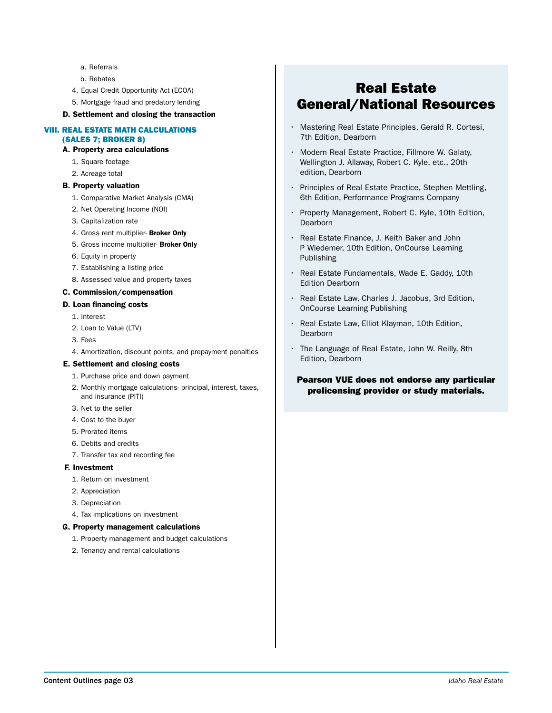- a. Referrals
- b. Rebates
- 4. Equal Credit Opportunity Act (ECOA)
- 5. Mortgage fraud and predatory lending
- D. Settlement and closing the transaction

### VIII. REAL ESTATE MATH CALCULATIONS (SALES 7; BROKER 8)

### A. Property area calculations

- 1. Square footage
- 2. Acreage total
- B. Property valuation
	- 1. Comparative Market Analysis (CMA)
	- 2. Net Operating Income (NOI)
	- 3. Capitalization rate
	- 4. Gross rent multiplier- Broker Only
	- 5. Gross income multiplier- Broker Only
	- 6. Equity in property
	- 7. Establishing a listing price
	- 8. Assessed value and property taxes

#### C. Commission/compensation

#### D. Loan financing costs

- 1. Interest
- 2. Loan to Value (LTV)
- 3. Fees
- 4. Amortization, discount points, and prepayment penalties

### E. Settlement and closing costs

- 1. Purchase price and down payment
- 2. Monthly mortgage calculations- principal, interest, taxes, and insurance (PITI)
- 3. Net to the seller
- 4. Cost to the buyer
- 5. Prorated items
- 6. Debits and credits
- 7. Transfer tax and recording fee

#### F. Investment

- 1. Return on investment
- 2. Appreciation
- 3. Depreciation
- 4. Tax implications on investment

#### G. Property management calculations

- 1. Property management and budget calculations
- 2. Tenancy and rental calculations

# Real Estate General/National Resources

- Mastering Real Estate Principles, Gerald R. Cortesi, 7th Edition, Dearborn
- Modern Real Estate Practice, Fillmore W. Galaty, Wellington J. Allaway, Robert C. Kyle, etc., 20th edition, Dearborn
- Principles of Real Estate Practice, Stephen Mettling, 6th Edition, Performance Programs Company
- Property Management, Robert C. Kyle, 10th Edition, **Dearborn**
- Real Estate Finance, J. Keith Baker and John P Wiedemer, 10th Edition, OnCourse Learning Publishing
- Real Estate Fundamentals, Wade E. Gaddy, 10th Edition Dearborn
- Real Estate Law, Charles J. Jacobus, 3rd Edition, OnCourse Learning Publishing
- Real Estate Law, Elliot Klayman, 10th Edition, Dearborn
- The Language of Real Estate, John W. Reilly, 8th Edition, Dearborn

### Pearson VUE does not endorse any particular prelicensing provider or study materials.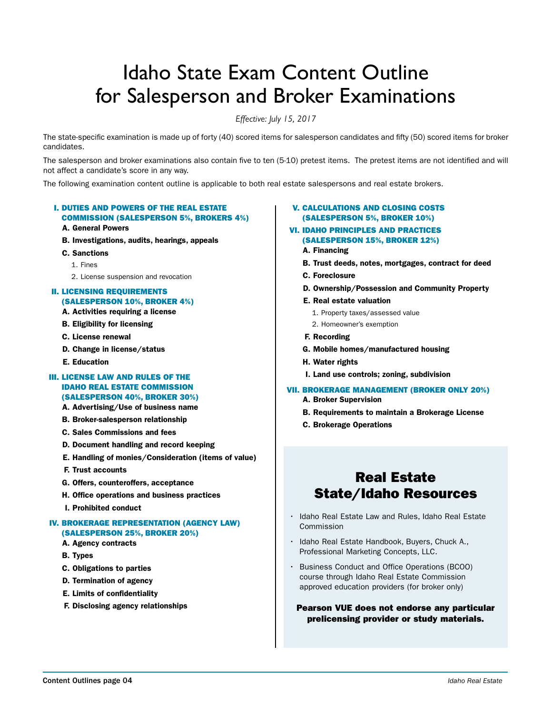# Idaho State Exam Content Outline for Salesperson and Broker Examinations

*Effective: July 15, 2017*

The state-specific examination is made up of forty (40) scored items for salesperson candidates and fifty (50) scored items for broker candidates.

The salesperson and broker examinations also contain five to ten (5-10) pretest items. The pretest items are not identified and will not affect a candidate's score in any way.

The following examination content outline is applicable to both real estate salespersons and real estate brokers.

### I. DUTIES AND POWERS OF THE REAL ESTATE COMMISSION (SALESPERSON 5%, BROKERS 4%)

### A. General Powers

- B. Investigations, audits, hearings, appeals
- C. Sanctions
	- 1. Fines
	- 2. License suspension and revocation

### II. LICENSING REQUIREMENTS (SALESPERSON 10%, BROKER 4%)

- A. Activities requiring a license
- B. Eligibility for licensing
- C. License renewal
- D. Change in license/status
- E. Education

### III. LICENSE LAW AND RULES OF THE IDAHO REAL ESTATE COMMISSION (SALESPERSON 40%, BROKER 30%)

- A. Advertising/Use of business name
- B. Broker-salesperson relationship
- C. Sales Commissions and fees
- D. Document handling and record keeping
- E. Handling of monies/Consideration (items of value)
- F. Trust accounts
- G. Offers, counteroffers, acceptance
- H. Office operations and business practices
- I. Prohibited conduct

### IV. BROKERAGE REPRESENTATION (AGENCY LAW) (SALESPERSON 25%, BROKER 20%)

# A. Agency contracts

- B. Types
- C. Obligations to parties
- D. Termination of agency
- E. Limits of confidentiality
- F. Disclosing agency relationships

### V. CALCULATIONS AND CLOSING COSTS (SALESPERSON 5%, BROKER 10%)

### VI. IDAHO PRINCIPLES AND PRACTICES (SALESPERSON 15%, BROKER 12%)

- A. Financing
- B. Trust deeds, notes, mortgages, contract for deed
- C. Foreclosure
- D. Ownership/Possession and Community Property
- E. Real estate valuation
	- 1. Property taxes/assessed value
	- 2. Homeowner's exemption
- F. Recording
- G. Mobile homes/manufactured housing
- H. Water rights
- I. Land use controls; zoning, subdivision

#### VII. BROKERAGE MANAGEMENT (BROKER ONLY 20%)

- A. Broker Supervision
- B. Requirements to maintain a Brokerage License
- C. Brokerage Operations

# Real Estate State/Idaho Resources

- Idaho Real Estate Law and Rules, Idaho Real Estate Commission
- Idaho Real Estate Handbook, Buyers, Chuck A., Professional Marketing Concepts, LLC.
- Business Conduct and Office Operations (BCOO) course through Idaho Real Estate Commission approved education providers (for broker only)

Pearson VUE does not endorse any particular prelicensing provider or study materials.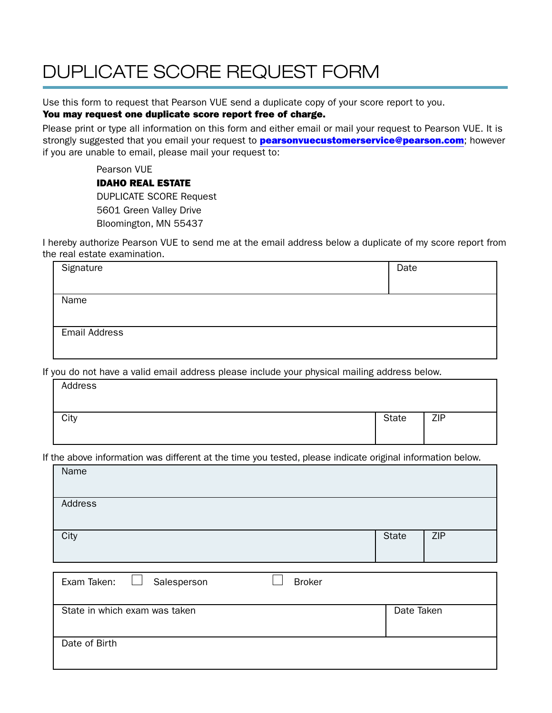# DUPLICATE SCORE REQUEST FORM

Use this form to request that Pearson VUE send a duplicate copy of your score report to you.

# You may request one duplicate score report free of charge.

Please print or type all information on this form and either email or mail your request to Pearson VUE. It is strongly suggested that you email your request to **pearsonvuecustomerservice@pearson.com**; however if you are unable to email, please mail your request to:

> Pearson VUE IDAHO REAL ESTATE DUPLICATE SCORE Request 5601 Green Valley Drive Bloomington, MN 55437

I hereby authorize Pearson VUE to send me at the email address below a duplicate of my score report from the real estate examination.

| Signature            | Date |
|----------------------|------|
|                      |      |
| Name                 |      |
|                      |      |
| <b>Email Address</b> |      |
|                      |      |

If you do not have a valid email address please include your physical mailing address below.

| Address |       |            |
|---------|-------|------------|
| City    | State | <b>ZIP</b> |

If the above information was different at the time you tested, please indicate original information below.

| Name                                        |              |     |
|---------------------------------------------|--------------|-----|
| Address                                     |              |     |
| City                                        | <b>State</b> | ZIP |
|                                             |              |     |
| <b>Broker</b><br>Exam Taken:<br>Salesperson |              |     |
| State in which exam was taken               | Date Taken   |     |
| Date of Birth                               |              |     |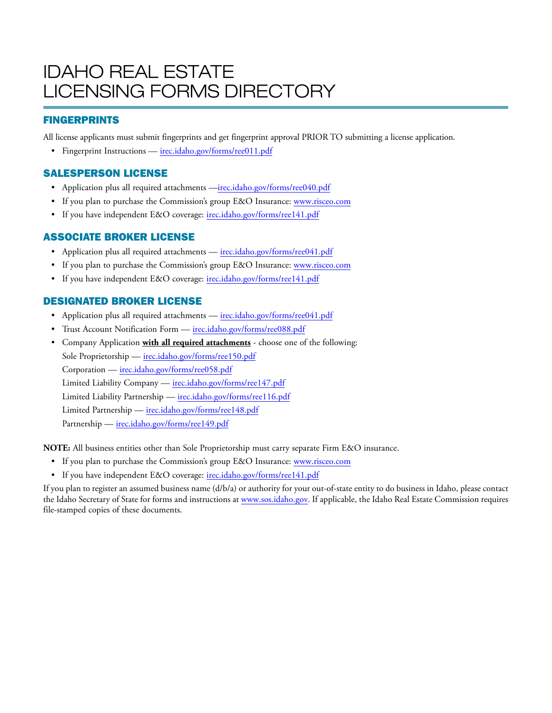# IDAHO REAL ESTATE LICENSING FORMS DIRECTORY

# FINGERPRINTS

All license applicants must submit fingerprints and get fingerprint approval PRIOR TO submitting a license application.

• Fingerprint Instructions — irec.idaho.gov/forms/ree011.pdf

# SALESPERSON LICENSE

- Application plus all required attachments —irec.idaho.gov/forms/ree040.pdf
- If you plan to purchase the Commission's group E&O Insurance: www.risceo.com
- If you have independent E&O coverage: irec.idaho.gov/forms/ree141.pdf

# ASSOCIATE BROKER LICENSE

- Application plus all required attachments irec.idaho.gov/forms/ree041.pdf
- If you plan to purchase the Commission's group E&O Insurance: www.risceo.com
- If you have independent E&O coverage: irec.idaho.gov/forms/ree141.pdf

# DESIGNATED BROKER LICENSE

- Application plus all required attachments irec.idaho.gov/forms/ree041.pdf
- Trust Account Notification Form irec.idaho.gov/forms/ree088.pdf
- Company Application **with all required attachments** choose one of the following: Sole Proprietorship — irec.idaho.gov/forms/ree150.pdf Corporation — irec.idaho.gov/forms/ree058.pdf Limited Liability Company — irec.idaho.gov/forms/ree147.pdf Limited Liability Partnership — irec.idaho.gov/forms/ree116.pdf Limited Partnership — irec.idaho.gov/forms/ree148.pdf Partnership — irec.idaho.gov/forms/ree149.pdf

**NOTE:** All business entities other than Sole Proprietorship must carry separate Firm E&O insurance.

- If you plan to purchase the Commission's group E&O Insurance: www.risceo.com
- If you have independent E&O coverage: irec.idaho.gov/forms/ree141.pdf

If you plan to register an assumed business name (d/b/a) or authority for your out-of-state entity to do business in Idaho, please contact the Idaho Secretary of State for forms and instructions at www.sos.idaho.gov. If applicable, the Idaho Real Estate Commission requires file-stamped copies of these documents.